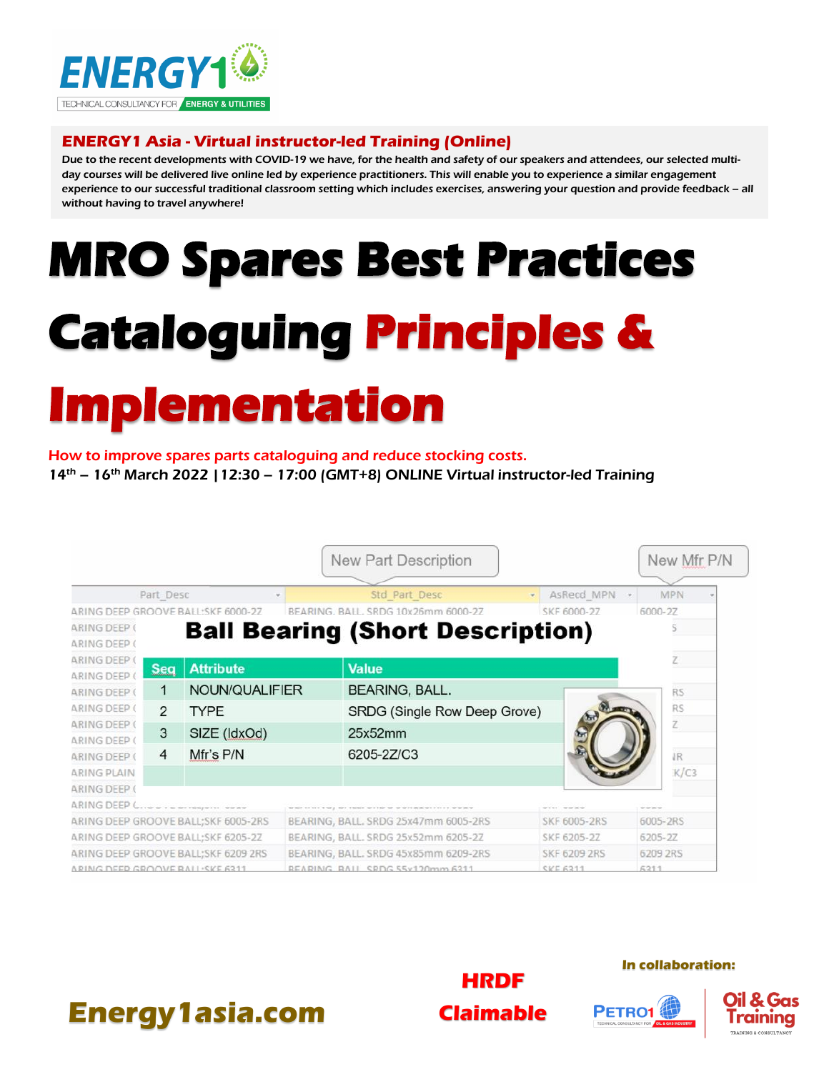

### **ENERGY1 Asia - Virtual instructor-led Training (Online)**

Due to the recent developments with COVID-19 we have, for the health and safety of our speakers and attendees, our selected multiday courses will be delivered live online led by experience practitioners. This will enable you to experience a similar engagement experience to our successful traditional classroom setting which includes exercises, answering your question and provide feedback – all without having to travel anywhere!

# **MRO Spares Best Practices Cataloguing Principles & Implementation**

#### How to improve spares parts cataloguing and reduce stocking costs.

 $14<sup>th</sup> - 16<sup>th</sup>$  March 2022 | 12:30 – 17:00 (GMT+8) ONLINE Virtual instructor-led Training

|                                                 |            |                                     |                                                                                                     | New Part Description                    |                     |                 | New Mfr P/N |  |
|-------------------------------------------------|------------|-------------------------------------|-----------------------------------------------------------------------------------------------------|-----------------------------------------|---------------------|-----------------|-------------|--|
|                                                 |            |                                     |                                                                                                     | Std Part Desc                           |                     |                 | <b>MPN</b>  |  |
| Part Desc<br>ARING DEEP GROOVE BALL:SKF 6000-27 |            | BEARING, BALL, SRDG 10x26mm 6000-27 |                                                                                                     | AsRecd MPN<br>SKF 6000-27               |                     | 6000-27         |             |  |
| <b>ARING DEEP (</b>                             |            |                                     |                                                                                                     |                                         |                     |                 |             |  |
| <b>ARING DEEP (</b>                             |            |                                     |                                                                                                     | <b>Ball Bearing (Short Description)</b> |                     |                 |             |  |
| <b>ARING DEEP (</b>                             |            |                                     |                                                                                                     |                                         |                     |                 | Z.          |  |
| ARING DEEP (                                    | <b>Seq</b> | <b>Attribute</b>                    |                                                                                                     | <b>Value</b>                            |                     |                 |             |  |
| <b>ARING DEEP (</b>                             | 1          | NOUN/QUALIFIER                      |                                                                                                     | BEARING, BALL.                          |                     |                 | <b>RS</b>   |  |
| <b>ARING DEEP (</b>                             | 2          | <b>TYPE</b>                         |                                                                                                     | SRDG (Single Row Deep Grove)            |                     |                 | <b>RS</b>   |  |
| <b>ARING DEEP (</b><br><b>ARING DEEP (</b>      | 3          | SIZE (IdxOd)                        |                                                                                                     | 25x52mm                                 |                     |                 | Z           |  |
| <b>ARING DEEP (</b>                             | 4          | Mfr's P/N                           |                                                                                                     | 6205-2Z/C3                              |                     |                 | IR.         |  |
| <b>ARING PLAIN</b>                              |            |                                     |                                                                                                     |                                         |                     |                 | K/C3        |  |
| <b>ARING DEEP (</b>                             |            |                                     |                                                                                                     |                                         |                     |                 |             |  |
| ARING DEEP C.                                   |            |                                     | between this time three places interest restablished that the secretary as an excited by the secret |                                         | MASS MARINE         | <b>Wild and</b> |             |  |
| ARING DEEP GROOVE BALL; SKF 6005-2RS            |            |                                     | BEARING, BALL. SRDG 25x47mm 6005-2RS                                                                |                                         | <b>SKF 6005-2RS</b> |                 | 6005-2RS    |  |
| ARING DEEP GROOVE BALL; SKF 6205-2Z             |            |                                     | BEARING, BALL. SRDG 25x52mm 6205-2Z                                                                 |                                         | SKF 6205-2Z         | 6205-2Z         |             |  |
| ARING DEEP GROOVE BALL; SKF 6209 2RS            |            |                                     | BEARING, BALL. SRDG 45x85mm 6209-2RS                                                                |                                         | <b>SKF 6209 2RS</b> |                 | 6209 2RS    |  |
| ARING DEED GROOVE RALL-SKE 6311                 |            |                                     |                                                                                                     | REARING RALL SRDG 55x120mm 6311         |                     | 6211            |             |  |



#### **In collaboration:**

PETRO1



# **Energy1asia.com**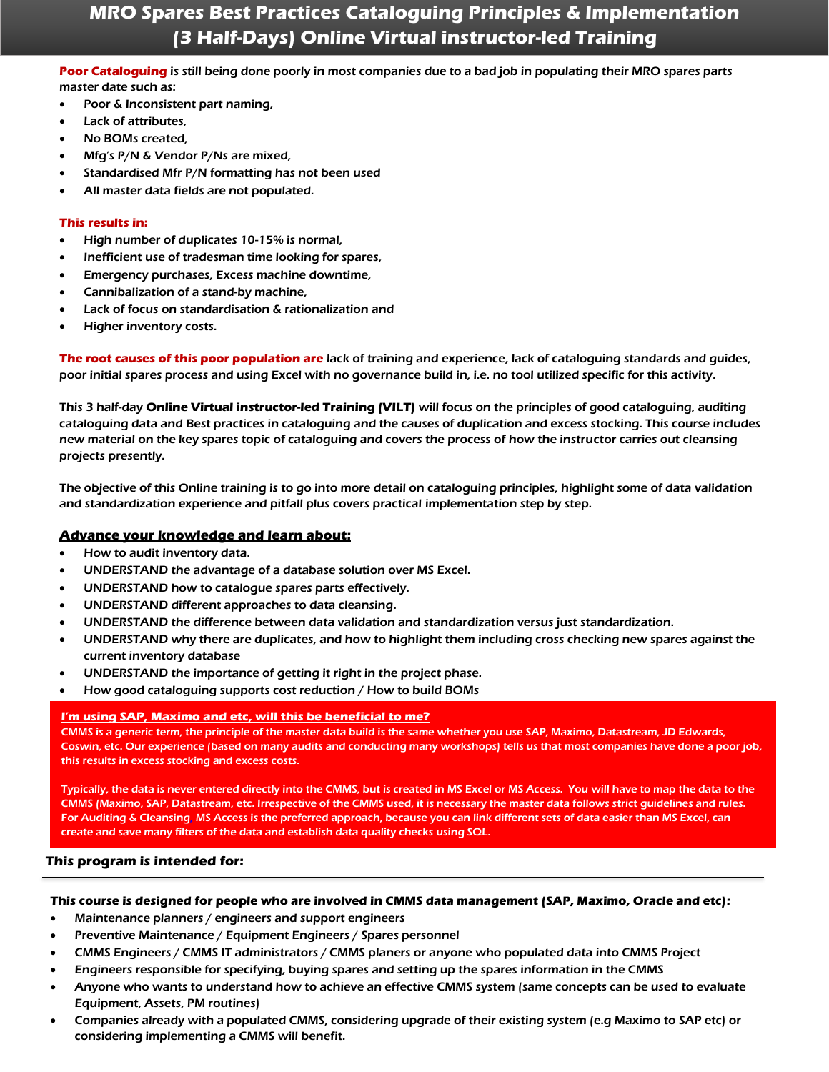## **MRO Spares Best Practices Cataloguing Principles & Implementation (3 Half-Days) Online Virtual instructor-led Training**

#### **Poor Cataloguing** is still being done poorly in most companies due to a bad job in populating their MRO spares parts master date such as:

- Poor & Inconsistent part naming,
- Lack of attributes,
- No BOMs created,
- Mfg's P/N & Vendor P/Ns are mixed,
- Standardised Mfr P/N formatting has not been used
- All master data fields are not populated.

#### **This results in:**

- High number of duplicates 10-15% is normal,
- Inefficient use of tradesman time looking for spares,
- Emergency purchases, Excess machine downtime,
- Cannibalization of a stand-by machine,
- Lack of focus on standardisation & rationalization and
- Higher inventory costs.

**The root causes of this poor population are** lack of training and experience, lack of cataloguing standards and guides, poor initial spares process and using Excel with no governance build in, i.e. no tool utilized specific for this activity.

This 3 half-day **Online Virtual instructor-led Training (VILT)** will focus on the principles of good cataloguing, auditing cataloguing data and Best practices in cataloguing and the causes of duplication and excess stocking. This course includes new material on the key spares topic of cataloguing and covers the process of how the instructor carries out cleansing projects presently.

The objective of this Online training is to go into more detail on cataloguing principles, highlight some of data validation and standardization experience and pitfall plus covers practical implementation step by step.

#### **Advance your knowledge and learn about:**

- How to audit inventory data.
- UNDERSTAND the advantage of a database solution over MS Excel.
- UNDERSTAND how to catalogue spares parts effectively.
- UNDERSTAND different approaches to data cleansing.
- UNDERSTAND the difference between data validation and standardization versus just standardization.
- UNDERSTAND why there are duplicates, and how to highlight them including cross checking new spares against the current inventory database
- UNDERSTAND the importance of getting it right in the project phase.
- How good cataloguing supports cost reduction / How to build BOMs

#### **I'm using SAP, Maximo and etc, will this be beneficial to me?**

CMMS is a generic term, the principle of the master data build is the same whether you use SAP, Maximo, Datastream, JD Edwards, Coswin, etc. Our experience (based on many audits and conducting many workshops) tells us that most companies have done a poor job, this results in excess stocking and excess costs.

Typically, the data is never entered directly into the CMMS, but is created in MS Excel or MS Access. You will have to map the data to the CMMS (Maximo, SAP, Datastream, etc. Irrespective of the CMMS used, it is necessary the master data follows strict guidelines and rules. For Auditing & Cleansing, MS Access is the preferred approach, because you can link different sets of data easier than MS Excel, can create and save many filters of the data and establish data quality checks using SQL.

#### **This program is intended for:**

#### **This course is designed for people who are involved in CMMS data management (SAP, Maximo, Oracle and etc):**

- Maintenance planners / engineers and support engineers
- Preventive Maintenance / Equipment Engineers / Spares personnel
- CMMS Engineers / CMMS IT administrators / CMMS planers or anyone who populated data into CMMS Project
- Engineers responsible for specifying, buying spares and setting up the spares information in the CMMS
- Anyone who wants to understand how to achieve an effective CMMS system (same concepts can be used to evaluate Equipment, Assets, PM routines)
- Companies already with a populated CMMS, considering upgrade of their existing system (e.g Maximo to SAP etc) or considering implementing a CMMS will benefit.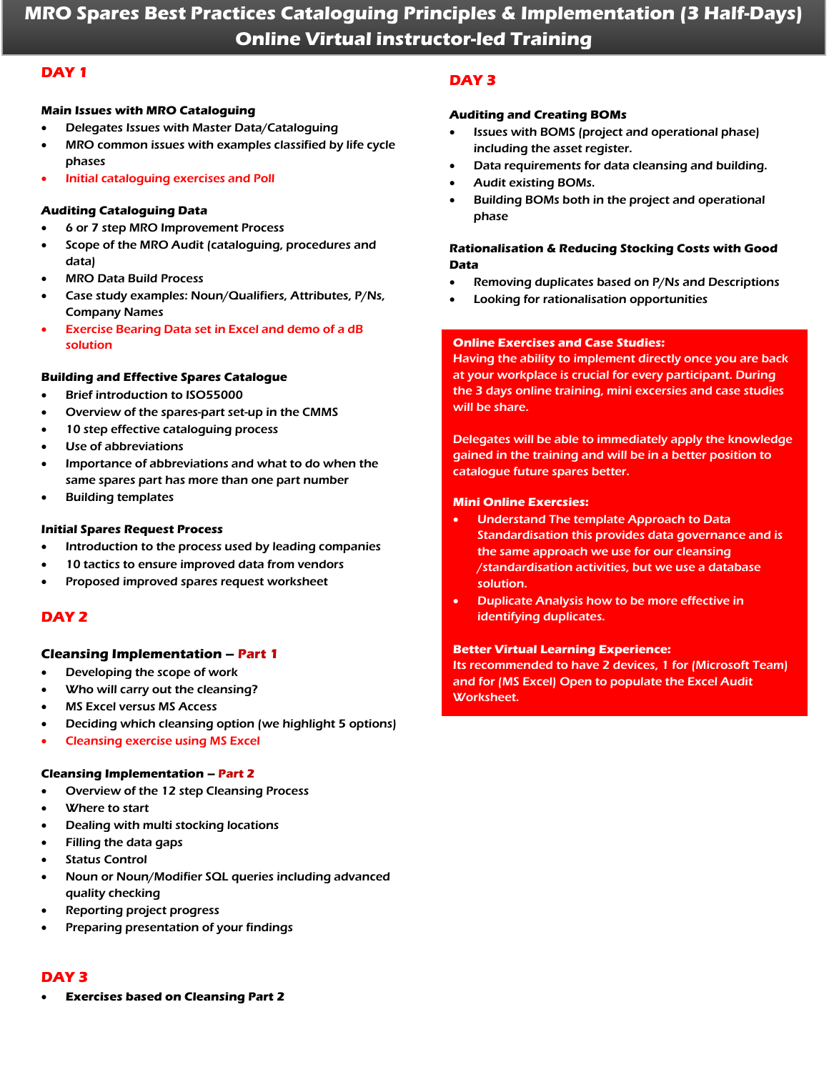## **MRO Spares Best Practices Cataloguing Principles & Implementation (3 Half-Days) Online Virtual instructor-led Training**

#### **DAY 1**

#### **Main Issues with MRO Cataloguing**

- Delegates Issues with Master Data/Cataloguing
- MRO common issues with examples classified by life cycle phases
- Initial cataloguing exercises and Poll

#### **Auditing Cataloguing Data**

- 6 or 7 step MRO Improvement Process
- Scope of the MRO Audit (cataloguing, procedures and data)
- MRO Data Build Process
- Case study examples: Noun/Qualifiers, Attributes, P/Ns, Company Names
- Exercise Bearing Data set in Excel and demo of a dB solution

#### **Building and Effective Spares Catalogue**

- Brief introduction to ISO55000
- Overview of the spares-part set-up in the CMMS
- 10 step effective cataloguing process
- Use of abbreviations
- Importance of abbreviations and what to do when the same spares part has more than one part number
- Building templates

#### **Initial Spares Request Process**

- Introduction to the process used by leading companies
- 10 tactics to ensure improved data from vendors
- Proposed improved spares request worksheet

#### **DAY 2**

#### **Cleansing Implementation – Part 1**

- Developing the scope of work
- Who will carry out the cleansing?
- **MS Excel versus MS Access**
- Deciding which cleansing option (we highlight 5 options)
- Cleansing exercise using MS Excel

#### **Cleansing Implementation – Part 2**

- Overview of the 12 step Cleansing Process
- Where to start
- Dealing with multi stocking locations
- Filling the data gaps
- **Status Control**
- Noun or Noun/Modifier SQL queries including advanced quality checking
- Reporting project progress
- Preparing presentation of your findings

#### **DAY 3**

• **Exercises based on Cleansing Part 2**

#### **DAY 3**

#### **Auditing and Creating BOMs**

- Issues with BOMS (project and operational phase) including the asset register.
- Data requirements for data cleansing and building.
- Audit existing BOMs.
- Building BOMs both in the project and operational phase

#### **Rationalisation & Reducing Stocking Costs with Good Data**

- Removing duplicates based on P/Ns and Descriptions
- Looking for rationalisation opportunities

#### **Online Exercises and Case Studies:**

Having the ability to implement directly once you are back at your workplace is crucial for every participant. During the 3 days online training, mini excersies and case studies will be share.

Delegates will be able to immediately apply the knowledge gained in the training and will be in a better position to catalogue future spares better.

#### **Mini Online Exercsies:**

- Understand The template Approach to Data Standardisation this provides data governance and is the same approach we use for our cleansing /standardisation activities, but we use a database solution.
- Duplicate Analysis how to be more effective in identifying duplicates.

#### **Better Virtual Learning Experience:**

Its recommended to have 2 devices, 1 for (Microsoft Team) and for (MS Excel) Open to populate the Excel Audit Worksheet.